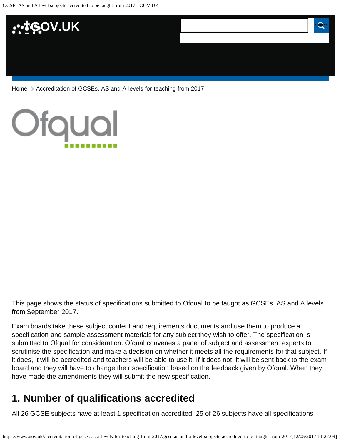

[Home](https://www.gov.uk/) > [Accreditation of GCSEs, AS and A levels for teaching from 2017](https://www.gov.uk/government/publications/accreditation-of-gcses-as-a-levels-for-teaching-from-2017)



This page shows the status of specifications submitted to Ofqual to be taught as GCSEs, AS and A levels from September 2017.

Exam boards take these subject content and requirements documents and use them to produce a specification and sample assessment materials for any subject they wish to offer. The specification is submitted to Ofqual for consideration. Ofqual convenes a panel of subject and assessment experts to scrutinise the specification and make a decision on whether it meets all the requirements for that subject. If it does, it will be accredited and teachers will be able to use it. If it does not, it will be sent back to the exam board and they will have to change their specification based on the feedback given by Ofqual. When they have made the amendments they will submit the new specification.

# <span id="page-0-0"></span>**1. Number of qualifications accredited**

All 26 GCSE subjects have at least 1 specification accredited. 25 of 26 subjects have all specifications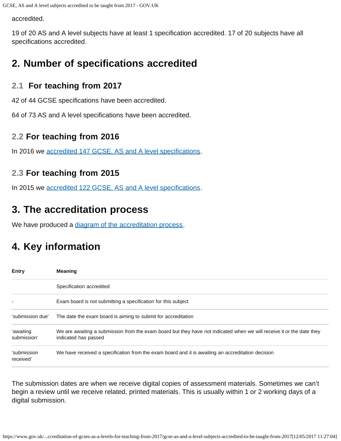accredited.

19 of 20 AS and A level subjects have at least 1 specification accredited. 17 of 20 subjects have all specifications accredited.

## <span id="page-1-0"></span>**2. Number of specifications accredited**

### **2.1 For teaching from 2017**

42 of 44 GCSE specifications have been accredited.

64 of 73 AS and A level specifications have been accredited.

### **2.2 For teaching from 2016**

In 2016 we [accredited 147 GCSE, AS and A level specifications.](https://www.gov.uk/government/publications/accreditation-of-gcses-as-a-levels-for-teaching-from-2016)

### **2.3 For teaching from 2015**

In 2015 we [accredited 122 GCSE, AS and A level specifications.](https://www.gov.uk/government/publications/new-gcses-as-and-a-levels-accredited-to-be-taught-from-2015)

## <span id="page-1-1"></span>**3. The accreditation process**

We have produced a [diagram of the accreditation process.](https://www.gov.uk/government/publications/your-qualification-our-regulation-gcse-as-and-a-level-reforms#attachment_1634078)

# <span id="page-1-2"></span>**4. Key information**

| <b>Entry</b>             | <b>Meaning</b>                                                                                                                                |
|--------------------------|-----------------------------------------------------------------------------------------------------------------------------------------------|
|                          | Specification accredited                                                                                                                      |
|                          | Exam board is not submitting a specification for this subject                                                                                 |
| 'submission due'         | The date the exam board is aiming to submit for accreditation                                                                                 |
| 'awaiting<br>submission' | We are awaiting a submission from the exam board but they have not indicated when we will receive it or the date they<br>indicated has passed |
| 'submission<br>received' | We have received a specification from the exam board and it is awaiting an accreditation decision                                             |

The submission dates are when we receive digital copies of assessment materials. Sometimes we can't begin a review until we receive related, printed materials. This is usually within 1 or 2 working days of a digital submission.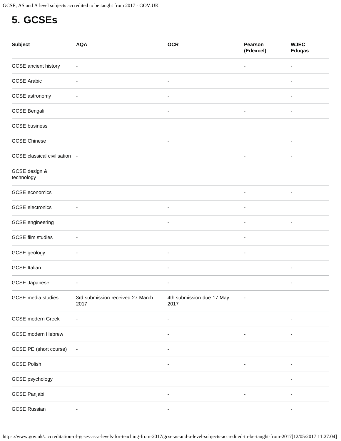## <span id="page-2-0"></span>**5. GCSEs**

| <b>Subject</b>                | <b>AQA</b>                               | <b>OCR</b>                        | Pearson<br>(Edexcel)     | <b>WJEC</b><br><b>Eduqas</b> |
|-------------------------------|------------------------------------------|-----------------------------------|--------------------------|------------------------------|
| GCSE ancient history          | $\overline{\phantom{a}}$                 |                                   | $\overline{\phantom{0}}$ |                              |
| <b>GCSE Arabic</b>            | $\overline{\phantom{a}}$                 | $\overline{\phantom{a}}$          |                          | ۰                            |
| GCSE astronomy                | ٠                                        | $\overline{\phantom{a}}$          |                          | ٠                            |
| <b>GCSE Bengali</b>           |                                          | ٠                                 | ÷,                       |                              |
| <b>GCSE</b> business          |                                          |                                   |                          |                              |
| <b>GCSE Chinese</b>           |                                          | $\overline{\phantom{a}}$          |                          | $\overline{\phantom{a}}$     |
| GCSE classical civilisation - |                                          |                                   | $\overline{\phantom{a}}$ | $\overline{\phantom{a}}$     |
| GCSE design &<br>technology   |                                          |                                   |                          |                              |
| GCSE economics                |                                          |                                   | $\overline{\phantom{a}}$ |                              |
| <b>GCSE</b> electronics       |                                          | $\qquad \qquad \blacksquare$      | ٠                        |                              |
| GCSE engineering              |                                          | $\overline{\phantom{a}}$          | $\overline{\phantom{a}}$ | $\overline{a}$               |
| <b>GCSE</b> film studies      | ٠                                        |                                   |                          |                              |
| GCSE geology                  | $\overline{\phantom{a}}$                 | $\overline{\phantom{a}}$          | $\overline{\phantom{a}}$ |                              |
| <b>GCSE Italian</b>           |                                          | $\qquad \qquad \blacksquare$      |                          |                              |
| <b>GCSE Japanese</b>          | ٠                                        | ٠                                 |                          |                              |
| GCSE media studies            | 3rd submission received 27 March<br>2017 | 4th submission due 17 May<br>2017 |                          |                              |
| GCSE modern Greek             | ٠                                        | $\overline{\phantom{a}}$          |                          | $\overline{\phantom{a}}$     |
| <b>GCSE</b> modern Hebrew     |                                          |                                   |                          |                              |
| GCSE PE (short course)        | $\overline{\phantom{a}}$                 |                                   |                          |                              |
| <b>GCSE Polish</b>            |                                          |                                   |                          |                              |
| GCSE psychology               |                                          |                                   |                          | $\overline{\phantom{0}}$     |
| GCSE Panjabi                  |                                          |                                   |                          |                              |
| <b>GCSE Russian</b>           |                                          |                                   |                          |                              |

https://www.gov.uk/...ccreditation-of-gcses-as-a-levels-for-teaching-from-2017/gcse-as-and-a-level-subjects-accredited-to-be-taught-from-2017[12/05/2017 11:27:04]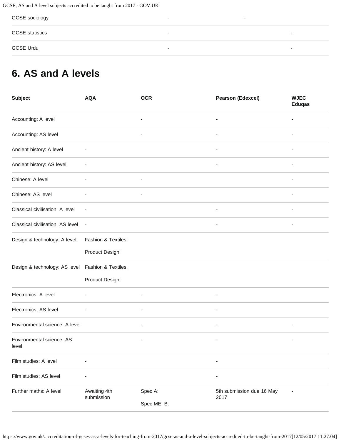GCSE, AS and A level subjects accredited to be taught from 2017 - GOV.UK

| GCSE sociology         | $\overline{\phantom{0}}$ | $\overline{\phantom{a}}$ |                          |
|------------------------|--------------------------|--------------------------|--------------------------|
| <b>GCSE</b> statistics | $\overline{\phantom{0}}$ |                          | $\overline{\phantom{0}}$ |
| <b>GCSE Urdu</b>       | $\overline{\phantom{a}}$ |                          | $\overline{\phantom{0}}$ |

# <span id="page-3-0"></span>**6. AS and A levels**

| <b>Subject</b>                                     | <b>AQA</b>                 | <b>OCR</b>               | <b>Pearson (Edexcel)</b>          | <b>WJEC</b><br><b>Eduqas</b> |
|----------------------------------------------------|----------------------------|--------------------------|-----------------------------------|------------------------------|
| Accounting: A level                                |                            | $\overline{\phantom{a}}$ | $\overline{\phantom{a}}$          |                              |
| Accounting: AS level                               |                            | $\overline{\phantom{a}}$ | $\overline{\phantom{a}}$          | ٠                            |
| Ancient history: A level                           | $\overline{\phantom{a}}$   |                          |                                   |                              |
| Ancient history: AS level                          | $\overline{\phantom{a}}$   |                          | L,                                |                              |
| Chinese: A level                                   | $\overline{\phantom{a}}$   | ۰                        |                                   |                              |
| Chinese: AS level                                  | $\overline{\phantom{a}}$   | $\overline{\phantom{a}}$ |                                   | ٠                            |
| Classical civilisation: A level                    | $\overline{\phantom{a}}$   |                          |                                   |                              |
| Classical civilisation: AS level                   | $\overline{\phantom{a}}$   |                          | ÷,                                | ÷                            |
| Design & technology: A level                       | Fashion & Textiles:        |                          |                                   |                              |
|                                                    | Product Design:            |                          |                                   |                              |
| Design & technology: AS level  Fashion & Textiles: |                            |                          |                                   |                              |
|                                                    | Product Design:            |                          |                                   |                              |
| Electronics: A level                               | $\overline{\phantom{a}}$   | $\overline{\phantom{a}}$ | $\overline{\phantom{a}}$          |                              |
| Electronics: AS level                              | -                          |                          |                                   |                              |
| Environmental science: A level                     |                            | $\overline{\phantom{a}}$ | ٠                                 | $\overline{\phantom{a}}$     |
| Environmental science: AS<br>level                 |                            |                          |                                   |                              |
| Film studies: A level                              |                            |                          | $\blacksquare$                    |                              |
| Film studies: AS level                             |                            |                          | $\overline{\phantom{a}}$          |                              |
| Further maths: A level                             | Awaiting 4th<br>submission | Spec A:<br>Spec MEI B:   | 5th submission due 16 May<br>2017 |                              |

https://www.gov.uk/...ccreditation-of-gcses-as-a-levels-for-teaching-from-2017/gcse-as-and-a-level-subjects-accredited-to-be-taught-from-2017[12/05/2017 11:27:04]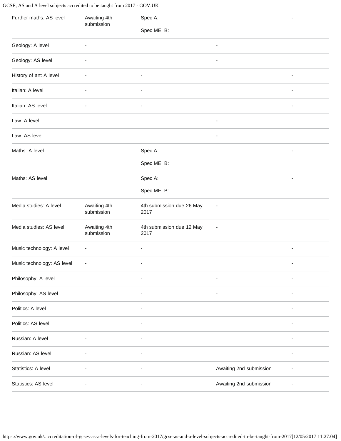GCSE, AS and A level subjects accredited to be taught from 2017 - GOV.UK

| Further maths: AS level    | Awaiting 4th<br>submission | Spec A:                           |                          |                          |
|----------------------------|----------------------------|-----------------------------------|--------------------------|--------------------------|
|                            |                            | Spec MEI B:                       |                          |                          |
| Geology: A level           | $\overline{\phantom{a}}$   |                                   | $\blacksquare$           |                          |
| Geology: AS level          | ٠                          |                                   | ٠                        |                          |
| History of art: A level    | ٠                          | $\overline{\phantom{a}}$          |                          | $\overline{\phantom{a}}$ |
| Italian: A level           | $\blacksquare$             | $\overline{\phantom{a}}$          |                          | $\blacksquare$           |
| Italian: AS level          | $\overline{\phantom{a}}$   | $\overline{\phantom{a}}$          |                          | $\overline{\phantom{a}}$ |
| Law: A level               |                            |                                   | ٠                        |                          |
| Law: AS level              |                            |                                   | $\overline{\phantom{a}}$ |                          |
| Maths: A level             |                            | Spec A:                           |                          |                          |
|                            |                            | Spec MEI B:                       |                          |                          |
| Maths: AS level            |                            | Spec A:                           |                          |                          |
|                            |                            | Spec MEI B:                       |                          |                          |
| Media studies: A level     | Awaiting 4th<br>submission | 4th submission due 26 May<br>2017 | $\overline{\phantom{a}}$ |                          |
| Media studies: AS level    | Awaiting 4th<br>submission | 4th submission due 12 May<br>2017 | $\overline{\phantom{a}}$ |                          |
| Music technology: A level  | $\overline{\phantom{a}}$   | ۰                                 |                          | $\overline{a}$           |
| Music technology: AS level | $\overline{\phantom{a}}$   | $\blacksquare$                    |                          |                          |
| Philosophy: A level        |                            |                                   |                          |                          |
| Philosophy: AS level       |                            |                                   | ٠                        |                          |
| Politics: A level          |                            | $\overline{\phantom{a}}$          |                          |                          |
| Politics: AS level         |                            | $\overline{\phantom{a}}$          |                          | $\overline{a}$           |
| Russian: A level           |                            |                                   |                          |                          |
| Russian: AS level          |                            |                                   |                          |                          |
| Statistics: A level        |                            |                                   | Awaiting 2nd submission  |                          |
| Statistics: AS level       |                            |                                   | Awaiting 2nd submission  |                          |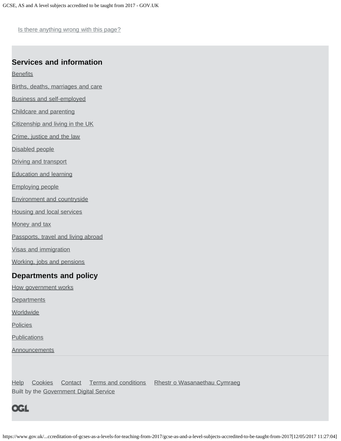Is there anything wrong with this page?

### **Services and information**

**[Benefits](https://www.gov.uk/browse/benefits)** 

[Births, deaths, marriages and care](https://www.gov.uk/browse/births-deaths-marriages)

[Business and self-employed](https://www.gov.uk/browse/business)

[Childcare and parenting](https://www.gov.uk/browse/childcare-parenting)

[Citizenship and living in the UK](https://www.gov.uk/browse/citizenship)

[Crime, justice and the law](https://www.gov.uk/browse/justice)

[Disabled people](https://www.gov.uk/browse/disabilities)

[Driving and transport](https://www.gov.uk/browse/driving)

[Education and learning](https://www.gov.uk/browse/education)

[Employing people](https://www.gov.uk/browse/employing-people)

[Environment and countryside](https://www.gov.uk/browse/environment-countryside)

[Housing and local services](https://www.gov.uk/browse/housing-local-services)

[Money and tax](https://www.gov.uk/browse/tax)

[Passports, travel and living abroad](https://www.gov.uk/browse/abroad)

[Visas and immigration](https://www.gov.uk/browse/visas-immigration)

[Working, jobs and pensions](https://www.gov.uk/browse/working)

#### **Departments and policy**

[How government works](https://www.gov.uk/government/how-government-works)

**[Departments](https://www.gov.uk/government/organisations)** 

**[Worldwide](https://www.gov.uk/government/world)** 

**[Policies](https://www.gov.uk/government/policies)** 

**[Publications](https://www.gov.uk/government/publications)** 

**[Announcements](https://www.gov.uk/government/announcements)** 

[Help](https://www.gov.uk/help) [Cookies](https://www.gov.uk/help/cookies) [Contact](https://www.gov.uk/contact) [Terms and conditions](https://www.gov.uk/help/terms-conditions) [Rhestr o Wasanaethau Cymraeg](https://www.gov.uk/cymraeg) Built by the [Government Digital Service](https://www.gov.uk/government/organisations/government-digital-service)